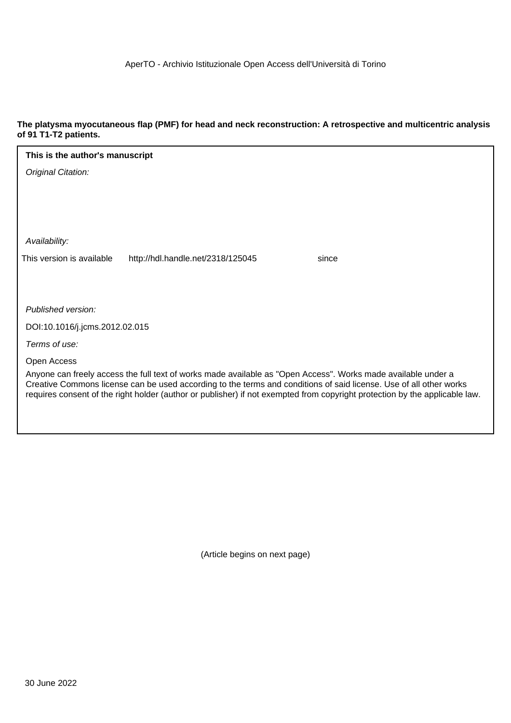#### **The platysma myocutaneous flap (PMF) for head and neck reconstruction: A retrospective and multicentric analysis of 91 T1-T2 patients.**

| This is the author's manuscript                                                                                                                                                                                                                   |  |  |  |  |  |  |
|---------------------------------------------------------------------------------------------------------------------------------------------------------------------------------------------------------------------------------------------------|--|--|--|--|--|--|
| Original Citation:                                                                                                                                                                                                                                |  |  |  |  |  |  |
|                                                                                                                                                                                                                                                   |  |  |  |  |  |  |
|                                                                                                                                                                                                                                                   |  |  |  |  |  |  |
|                                                                                                                                                                                                                                                   |  |  |  |  |  |  |
| Availability:                                                                                                                                                                                                                                     |  |  |  |  |  |  |
| This version is available<br>http://hdl.handle.net/2318/125045<br>since                                                                                                                                                                           |  |  |  |  |  |  |
|                                                                                                                                                                                                                                                   |  |  |  |  |  |  |
|                                                                                                                                                                                                                                                   |  |  |  |  |  |  |
| Published version:                                                                                                                                                                                                                                |  |  |  |  |  |  |
| DOI:10.1016/j.jcms.2012.02.015                                                                                                                                                                                                                    |  |  |  |  |  |  |
| Terms of use:                                                                                                                                                                                                                                     |  |  |  |  |  |  |
| Open Access                                                                                                                                                                                                                                       |  |  |  |  |  |  |
| Anyone can freely access the full text of works made available as "Open Access". Works made available under a                                                                                                                                     |  |  |  |  |  |  |
| Creative Commons license can be used according to the terms and conditions of said license. Use of all other works<br>requires consent of the right holder (author or publisher) if not exempted from copyright protection by the applicable law. |  |  |  |  |  |  |
|                                                                                                                                                                                                                                                   |  |  |  |  |  |  |
|                                                                                                                                                                                                                                                   |  |  |  |  |  |  |

(Article begins on next page)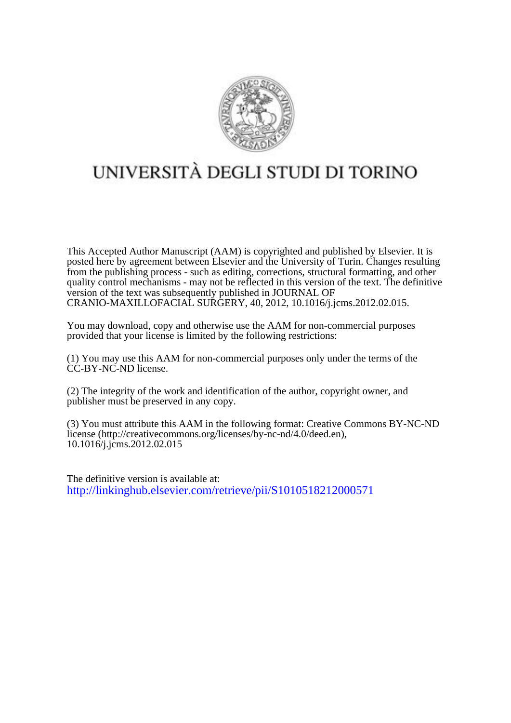

# UNIVERSITÀ DEGLI STUDI DI TORINO

This Accepted Author Manuscript (AAM) is copyrighted and published by Elsevier. It is posted here by agreement between Elsevier and the University of Turin. Changes resulting from the publishing process - such as editing, corrections, structural formatting, and other quality control mechanisms - may not be reflected in this version of the text. The definitive version of the text was subsequently published in JOURNAL OF CRANIO-MAXILLOFACIAL SURGERY, 40, 2012, 10.1016/j.jcms.2012.02.015.

You may download, copy and otherwise use the AAM for non-commercial purposes provided that your license is limited by the following restrictions:

(1) You may use this AAM for non-commercial purposes only under the terms of the CC-BY-NC-ND license.

(2) The integrity of the work and identification of the author, copyright owner, and publisher must be preserved in any copy.

(3) You must attribute this AAM in the following format: Creative Commons BY-NC-ND license (http://creativecommons.org/licenses/by-nc-nd/4.0/deed.en), 10.1016/j.jcms.2012.02.015

The definitive version is available at: <http://linkinghub.elsevier.com/retrieve/pii/S1010518212000571>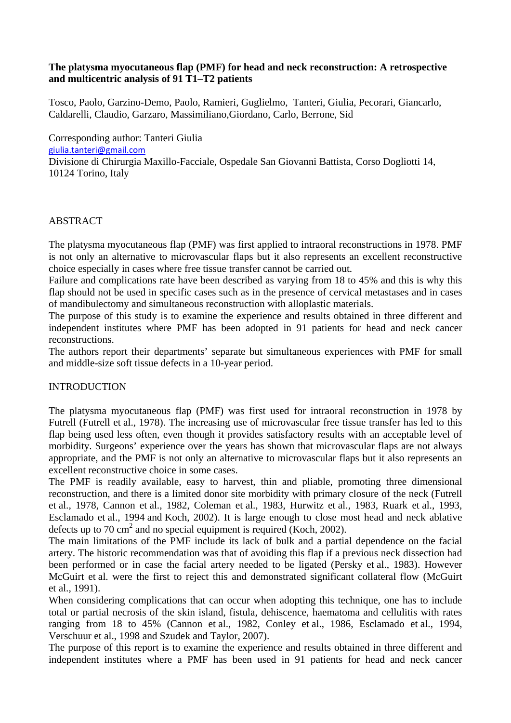# **The platysma myocutaneous flap (PMF) for head and neck reconstruction: A retrospective and multicentric analysis of 91 T1–T2 patients**

Tosco, Paolo, Garzino-Demo, Paolo, Ramieri, Guglielmo, Tanteri, Giulia, Pecorari, Giancarlo, Caldarelli, Claudio, Garzaro, Massimiliano,Giordano, Carlo, Berrone, Sid

Corresponding author: Tanteri Giulia [giulia.tanteri@gmail.com](mailto:giulia.tanteri@gmail.com) Divisione di Chirurgia Maxillo-Facciale, Ospedale San Giovanni Battista, Corso Dogliotti 14, 10124 Torino, Italy

# ABSTRACT

The platysma myocutaneous flap (PMF) was first applied to intraoral reconstructions in 1978. PMF is not only an alternative to microvascular flaps but it also represents an excellent reconstructive choice especially in cases where free tissue transfer cannot be carried out.

Failure and complications rate have been described as varying from 18 to 45% and this is why this flap should not be used in specific cases such as in the presence of cervical metastases and in cases of mandibulectomy and simultaneous reconstruction with alloplastic materials.

The purpose of this study is to examine the experience and results obtained in three different and independent institutes where PMF has been adopted in 91 patients for head and neck cancer reconstructions.

The authors report their departments' separate but simultaneous experiences with PMF for small and middle-size soft tissue defects in a 10-year period.

#### INTRODUCTION

The platysma myocutaneous flap (PMF) was first used for intraoral reconstruction in 1978 by Futrell (Futrell et al., 1978). The increasing use of microvascular free tissue transfer has led to this flap being used less often, even though it provides satisfactory results with an acceptable level of morbidity. Surgeons' experience over the years has shown that microvascular flaps are not always appropriate, and the PMF is not only an alternative to microvascular flaps but it also represents an excellent reconstructive choice in some cases.

The PMF is readily available, easy to harvest, thin and pliable, promoting three dimensional reconstruction, and there is a limited donor site morbidity with primary closure of the neck (Futrell et al., 1978, Cannon et al., 1982, Coleman et al., 1983, Hurwitz et al., 1983, Ruark et al., 1993, [Esclamado et al., 1994](http://www.sciencedirect.com/science/article/pii/S1010518212000571#bib7) and [Koch, 2002](http://www.sciencedirect.com/science/article/pii/S1010518212000571#bib11)). It is large enough to close most head and neck ablative defects up to 70 cm<sup>2</sup> and no special equipment is required (Koch, 2002).

The main limitations of the PMF include its lack of bulk and a partial dependence on the facial artery. The historic recommendation was that of avoiding this flap if a previous neck dissection had been performed or in case the facial artery needed to be ligated (Persky et al., 1983). However McGuirt et al. were the first to reject this and demonstrated significant collateral flow (McGuirt et al., 1991).

When considering complications that can occur when adopting this technique, one has to include total or partial necrosis of the skin island, fistula, dehiscence, haematoma and cellulitis with rates ranging from 18 to 45% (Cannon et al., 1982, Conley et al., 1986, Esclamado et al., 1994, Verschuur et al., 1998 and Szudek and Taylor, 2007).

The purpose of this report is to examine the experience and results obtained in three different and independent institutes where a PMF has been used in 91 patients for head and neck cancer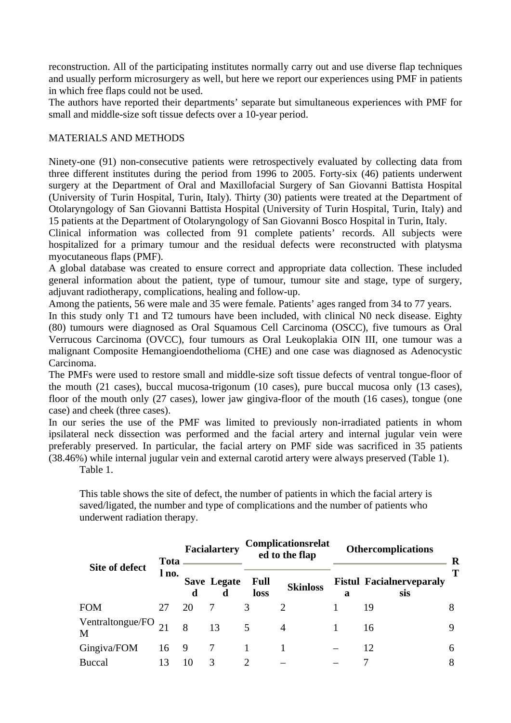reconstruction. All of the participating institutes normally carry out and use diverse flap techniques and usually perform microsurgery as well, but here we report our experiences using PMF in patients in which free flaps could not be used.

The authors have reported their departments' separate but simultaneous experiences with PMF for small and middle-size soft tissue defects over a 10-year period.

# MATERIALS AND METHODS

Ninety-one (91) non-consecutive patients were retrospectively evaluated by collecting data from three different institutes during the period from 1996 to 2005. Forty-six (46) patients underwent surgery at the Department of Oral and Maxillofacial Surgery of San Giovanni Battista Hospital (University of Turin Hospital, Turin, Italy). Thirty (30) patients were treated at the Department of Otolaryngology of San Giovanni Battista Hospital (University of Turin Hospital, Turin, Italy) and 15 patients at the Department of Otolaryngology of San Giovanni Bosco Hospital in Turin, Italy.

Clinical information was collected from 91 complete patients' records. All subjects were hospitalized for a primary tumour and the residual defects were reconstructed with platysma myocutaneous flaps (PMF).

A global database was created to ensure correct and appropriate data collection. These included general information about the patient, type of tumour, tumour site and stage, type of surgery, adjuvant radiotherapy, complications, healing and follow-up.

Among the patients, 56 were male and 35 were female. Patients' ages ranged from 34 to 77 years.

In this study only T1 and T2 tumours have been included, with clinical N0 neck disease. Eighty (80) tumours were diagnosed as Oral Squamous Cell Carcinoma (OSCC), five tumours as Oral Verrucous Carcinoma (OVCC), four tumours as Oral Leukoplakia OIN III, one tumour was a malignant Composite Hemangioendothelioma (CHE) and one case was diagnosed as Adenocystic Carcinoma.

The PMFs were used to restore small and middle-size soft tissue defects of ventral tongue-floor of the mouth (21 cases), buccal mucosa-trigonum (10 cases), pure buccal mucosa only (13 cases), floor of the mouth only (27 cases), lower jaw gingiva-floor of the mouth (16 cases), tongue (one case) and cheek (three cases).

In our series the use of the PMF was limited to previously non-irradiated patients in whom ipsilateral neck dissection was performed and the facial artery and internal jugular vein were preferably preserved. In particular, the facial artery on PMF side was sacrificed in 35 patients (38.46%) while internal jugular vein and external carotid artery were always preserved (Table 1).

Table 1.

This table shows the site of defect, the number of patients in which the facial artery is saved/ligated, the number and type of complications and the number of patients who underwent radiation therapy.

| Site of defect        | <b>Tota</b><br>l no. | <b>Facialartery</b> |                  | Complicationsrelat<br>ed to the flap |                 | <b>Othercomplications</b> |                                        | R |
|-----------------------|----------------------|---------------------|------------------|--------------------------------------|-----------------|---------------------------|----------------------------------------|---|
|                       |                      | d                   | Save Legate<br>d | Full<br>loss                         | <b>Skinloss</b> | a                         | <b>Fistul Facialnerveparaly</b><br>sis |   |
| <b>FOM</b>            | 27                   | 20                  |                  | 3                                    |                 |                           | 19                                     | 8 |
| Ventraltongue/FO<br>M |                      | 8                   | 13               |                                      | $\overline{4}$  |                           | 16                                     |   |
| Gingiva/FOM           | 16 9                 |                     |                  |                                      |                 |                           | 12                                     | h |
| <b>Buccal</b>         | 13                   | 10                  | 3                |                                      |                 |                           |                                        |   |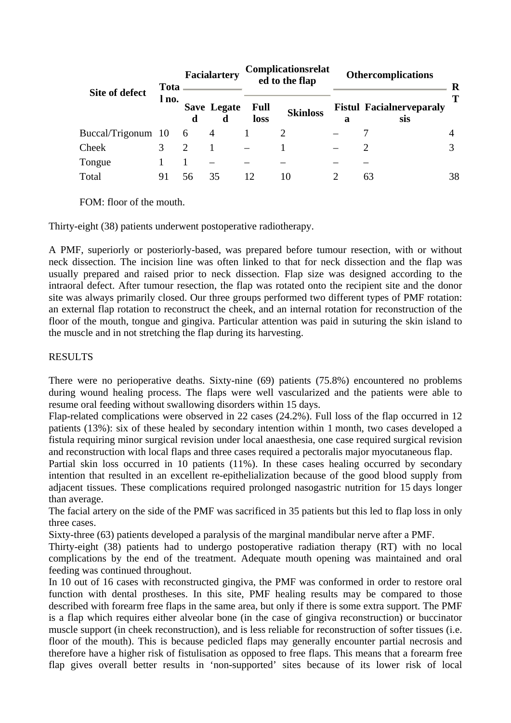| Site of defect     | <b>Tota</b><br>l no. | Facialartery  |                         | Complicationsrelat<br>ed to the flap |                 | <b>Othercomplications</b> |                                        | R  |
|--------------------|----------------------|---------------|-------------------------|--------------------------------------|-----------------|---------------------------|----------------------------------------|----|
|                    |                      | d             | <b>Save Legate</b><br>d | <b>Full</b><br>loss                  | <b>Skinloss</b> | a                         | <b>Fistul Facialnerveparaly</b><br>sis | т  |
| Buccal/Trigonum 10 |                      | - 6           | 4                       |                                      |                 |                           |                                        |    |
| Cheek              |                      | $\mathcal{D}$ |                         |                                      |                 |                           |                                        |    |
| Tongue             |                      |               |                         |                                      |                 |                           |                                        |    |
| Total              | 91                   |               | 35                      |                                      | 10              |                           | 63                                     | 38 |

FOM: floor of the mouth.

Thirty-eight (38) patients underwent postoperative radiotherapy.

A PMF, superiorly or posteriorly-based, was prepared before tumour resection, with or without neck dissection. The incision line was often linked to that for neck dissection and the flap was usually prepared and raised prior to neck dissection. Flap size was designed according to the intraoral defect. After tumour resection, the flap was rotated onto the recipient site and the donor site was always primarily closed. Our three groups performed two different types of PMF rotation: an external flap rotation to reconstruct the cheek, and an internal rotation for reconstruction of the floor of the mouth, tongue and gingiva. Particular attention was paid in suturing the skin island to the muscle and in not stretching the flap during its harvesting.

# RESULTS

There were no perioperative deaths. Sixty-nine (69) patients (75.8%) encountered no problems during wound healing process. The flaps were well vascularized and the patients were able to resume oral feeding without swallowing disorders within 15 days.

Flap-related complications were observed in 22 cases (24.2%). Full loss of the flap occurred in 12 patients (13%): six of these healed by secondary intention within 1 month, two cases developed a fistula requiring minor surgical revision under local anaesthesia, one case required surgical revision and reconstruction with local flaps and three cases required a pectoralis major myocutaneous flap.

Partial skin loss occurred in 10 patients (11%). In these cases healing occurred by secondary intention that resulted in an excellent re-epithelialization because of the good blood supply from adjacent tissues. These complications required prolonged nasogastric nutrition for 15 days longer than average.

The facial artery on the side of the PMF was sacrificed in 35 patients but this led to flap loss in only three cases.

Sixty-three (63) patients developed a paralysis of the marginal mandibular nerve after a PMF.

Thirty-eight (38) patients had to undergo postoperative radiation therapy (RT) with no local complications by the end of the treatment. Adequate mouth opening was maintained and oral feeding was continued throughout.

In 10 out of 16 cases with reconstructed gingiva, the PMF was conformed in order to restore oral function with dental prostheses. In this site, PMF healing results may be compared to those described with forearm free flaps in the same area, but only if there is some extra support. The PMF is a flap which requires either alveolar bone (in the case of gingiva reconstruction) or buccinator muscle support (in cheek reconstruction), and is less reliable for reconstruction of softer tissues (i.e. floor of the mouth). This is because pedicled flaps may generally encounter partial necrosis and therefore have a higher risk of fistulisation as opposed to free flaps. This means that a forearm free flap gives overall better results in 'non-supported' sites because of its lower risk of local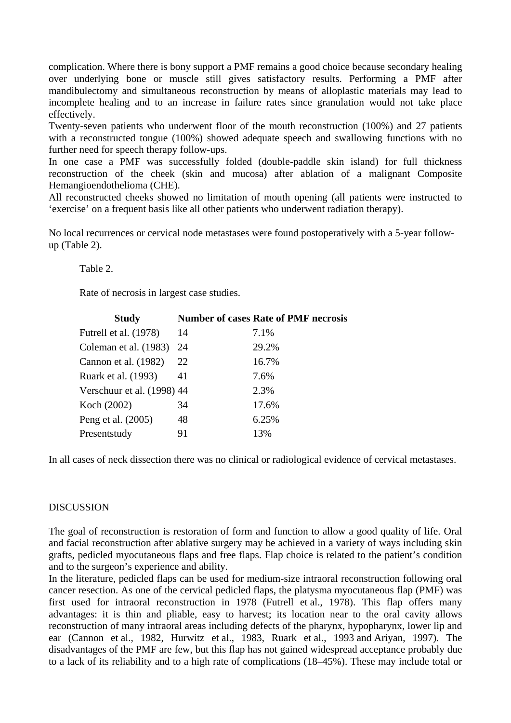complication. Where there is bony support a PMF remains a good choice because secondary healing over underlying bone or muscle still gives satisfactory results. Performing a PMF after mandibulectomy and simultaneous reconstruction by means of alloplastic materials may lead to incomplete healing and to an increase in failure rates since granulation would not take place effectively.

Twenty-seven patients who underwent floor of the mouth reconstruction (100%) and 27 patients with a reconstructed tongue (100%) showed adequate speech and swallowing functions with no further need for speech therapy follow-ups.

In one case a PMF was successfully folded (double-paddle skin island) for full thickness reconstruction of the cheek (skin and mucosa) after ablation of a malignant Composite Hemangioendothelioma (CHE).

All reconstructed cheeks showed no limitation of mouth opening (all patients were instructed to 'exercise' on a frequent basis like all other patients who underwent radiation therapy).

No local recurrences or cervical node metastases were found postoperatively with a 5-year followup (Table 2).

Table 2.

Rate of necrosis in largest case studies.

| <b>Study</b>               |    | <b>Number of cases Rate of PMF necrosis</b> |
|----------------------------|----|---------------------------------------------|
| Futrell et al. (1978)      | 14 | 7.1%                                        |
| Coleman et al. (1983)      | 24 | 29.2%                                       |
| Cannon et al. (1982)       | 22 | 16.7%                                       |
| Ruark et al. (1993)        | 41 | 7.6%                                        |
| Verschuur et al. (1998) 44 |    | 2.3%                                        |
| Koch (2002)                | 34 | 17.6%                                       |
| Peng et al. (2005)         | 48 | 6.25%                                       |
| Presentstudy               | 91 | 13%                                         |

In all cases of neck dissection there was no clinical or radiological evidence of cervical metastases.

#### **DISCUSSION**

The goal of reconstruction is restoration of form and function to allow a good quality of life. Oral and facial reconstruction after ablative surgery may be achieved in a variety of ways including skin grafts, pedicled myocutaneous flaps and free flaps. Flap choice is related to the patient's condition and to the surgeon's experience and ability.

In the literature, pedicled flaps can be used for medium-size intraoral reconstruction following oral cancer resection. As one of the cervical pedicled flaps, the platysma myocutaneous flap (PMF) was first used for intraoral reconstruction in 1978 (Futrell et al., 1978). This flap offers many advantages: it is thin and pliable, easy to harvest; its location near to the oral cavity allows reconstruction of many intraoral areas including defects of the pharynx, hypopharynx, lower lip and ear (Cannon et al., 1982, Hurwitz et al., 1983, Ruark et al., 1993 and Ariyan, 1997). The disadvantages of the PMF are few, but this flap has not gained widespread acceptance probably due to a lack of its reliability and to a high rate of complications (18–45%). These may include total or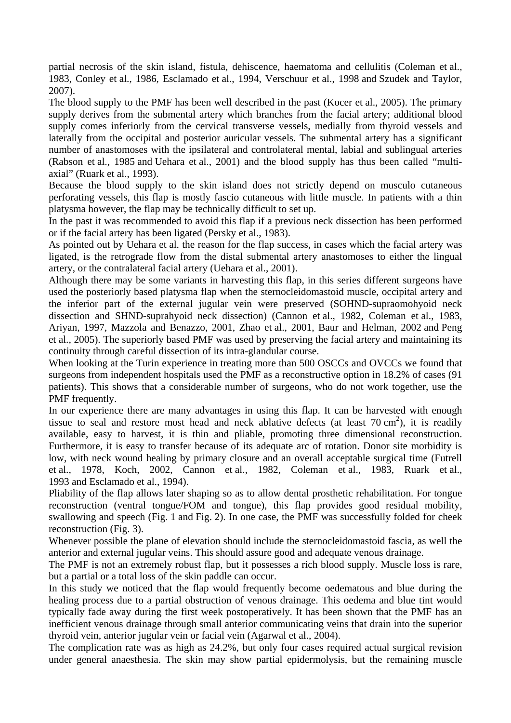partial necrosis of the skin island, fistula, dehiscence, haematoma and cellulitis (Coleman et al., 1983, Conley et al., 1986, Esclamado et al., 1994, Verschuur et al., 1998 and Szudek and Taylor, 2007).

The blood supply to the PMF has been well described in the past (Kocer et al., 2005). The primary supply derives from the submental artery which branches from the facial artery; additional blood supply comes inferiorly from the cervical transverse vessels, medially from thyroid vessels and laterally from the occipital and posterior auricular vessels. The submental artery has a significant number of anastomoses with the ipsilateral and controlateral mental, labial and sublingual arteries (Rabson et al., 1985 and Uehara et al., 2001) and the blood supply has thus been called "multiaxial" (Ruark et al., 1993).

Because the blood supply to the skin island does not strictly depend on musculo cutaneous perforating vessels, this flap is mostly fascio cutaneous with little muscle. In patients with a thin platysma however, the flap may be technically difficult to set up.

In the past it was recommended to avoid this flap if a previous neck dissection has been performed or if the facial artery has been ligated (Persky et al., 1983).

As pointed out by Uehara et al. the reason for the flap success, in cases which the facial artery was ligated, is the retrograde flow from the distal submental artery anastomoses to either the lingual artery, or the contralateral facial artery (Uehara et al., 2001).

Although there may be some variants in harvesting this flap, in this series different surgeons have used the posteriorly based platysma flap when the sternocleidomastoid muscle, occipital artery and the inferior part of the external jugular vein were preserved (SOHND-supraomohyoid neck dissection and SHND-suprahyoid neck dissection) (Cannon et al., 1982, Coleman et al., 1983, Ariyan, 1997, Mazzola and Benazzo, 2001, Zhao et al., 2001, Baur and Helman, 2002 and Peng et al., 2005). The superiorly based PMF was used by preserving the facial artery and maintaining its continuity through careful dissection of its intra-glandular course.

When looking at the Turin experience in treating more than 500 OSCCs and OVCCs we found that surgeons from independent hospitals used the PMF as a reconstructive option in 18.2% of cases (91 patients). This shows that a considerable number of surgeons, who do not work together, use the PMF frequently.

In our experience there are many advantages in using this flap. It can be harvested with enough tissue to seal and restore most head and neck ablative defects (at least  $70 \text{ cm}^2$ ), it is readily available, easy to harvest, it is thin and pliable, promoting three dimensional reconstruction. Furthermore, it is easy to transfer because of its adequate arc of rotation. Donor site morbidity is low, with neck wound healing by primary closure and an overall acceptable surgical time (Futrell et al., 1978, Koch, 2002, Cannon et al., 1982, Coleman et al., 1983, Ruark et al., 1993 and Esclamado et al., 1994).

Pliability of the flap allows later shaping so as to allow dental prosthetic rehabilitation. For tongue reconstruction (ventral tongue/FOM and tongue), this flap provides good residual mobility, swallowing and speech (Fig. 1 and Fig. 2). In one case, the PMF was successfully folded for cheek reconstruction (Fig. 3).

Whenever possible the plane of elevation should include the sternocleidomastoid fascia, as well the anterior and external jugular veins. This should assure good and adequate venous drainage.

The PMF is not an extremely robust flap, but it possesses a rich blood supply. Muscle loss is rare, but a partial or a total loss of the skin paddle can occur.

In this study we noticed that the flap would frequently become oedematous and blue during the healing process due to a partial obstruction of venous drainage. This oedema and blue tint would typically fade away during the first week postoperatively. It has been shown that the PMF has an inefficient venous drainage through small anterior communicating veins that drain into the superior thyroid vein, anterior jugular vein or facial vein [\(Agarwal et al., 2004\)](http://www.sciencedirect.com/science/article/pii/S1010518212000571#bib1).

The complication rate was as high as 24.2%, but only four cases required actual surgical revision under general anaesthesia. The skin may show partial epidermolysis, but the remaining muscle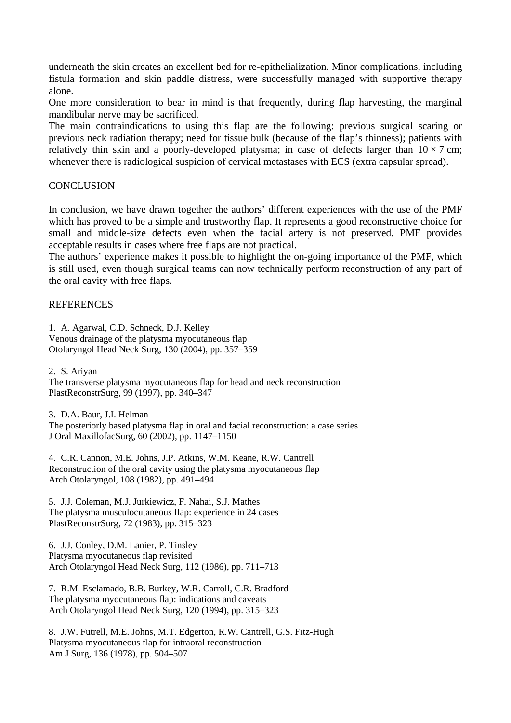underneath the skin creates an excellent bed for re-epithelialization. Minor complications, including fistula formation and skin paddle distress, were successfully managed with supportive therapy alone.

One more consideration to bear in mind is that frequently, during flap harvesting, the marginal mandibular nerve may be sacrificed.

The main contraindications to using this flap are the following: previous surgical scaring or previous neck radiation therapy; need for tissue bulk (because of the flap's thinness); patients with relatively thin skin and a poorly-developed platysma; in case of defects larger than  $10 \times 7$  cm; whenever there is radiological suspicion of cervical metastases with ECS (extra capsular spread).

#### **CONCLUSION**

In conclusion, we have drawn together the authors' different experiences with the use of the PMF which has proved to be a simple and trustworthy flap. It represents a good reconstructive choice for small and middle-size defects even when the facial artery is not preserved. PMF provides acceptable results in cases where free flaps are not practical.

The authors' experience makes it possible to highlight the on-going importance of the PMF, which is still used, even though surgical teams can now technically perform reconstruction of any part of the oral cavity with free flaps.

# **REFERENCES**

1. A. Agarwal, C.D. Schneck, D.J. Kelley

Venous drainage of the platysma myocutaneous flap Otolaryngol Head Neck Surg, 130 (2004), pp. 357–359

2. S. Ariyan

The transverse platysma myocutaneous flap for head and neck reconstruction PlastReconstrSurg, 99 (1997), pp. 340–347

3. D.A. Baur, J.I. Helman The posteriorly based platysma flap in oral and facial reconstruction: a case series J Oral MaxillofacSurg, 60 (2002), pp. 1147–1150

4. C.R. Cannon, M.E. Johns, J.P. Atkins, W.M. Keane, R.W. Cantrell Reconstruction of the oral cavity using the platysma myocutaneous flap Arch Otolaryngol, 108 (1982), pp. 491–494

5. J.J. Coleman, M.J. Jurkiewicz, F. Nahai, S.J. Mathes The platysma musculocutaneous flap: experience in 24 cases PlastReconstrSurg, 72 (1983), pp. 315–323

6. J.J. Conley, D.M. Lanier, P. Tinsley Platysma myocutaneous flap revisited Arch Otolaryngol Head Neck Surg, 112 (1986), pp. 711–713

7. R.M. Esclamado, B.B. Burkey, W.R. Carroll, C.R. Bradford The platysma myocutaneous flap: indications and caveats Arch Otolaryngol Head Neck Surg, 120 (1994), pp. 315–323

8. J.W. Futrell, M.E. Johns, M.T. Edgerton, R.W. Cantrell, G.S. Fitz-Hugh Platysma myocutaneous flap for intraoral reconstruction Am J Surg, 136 (1978), pp. 504–507